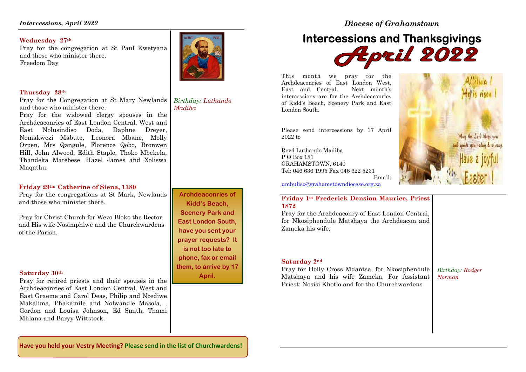### *Intercessions, April 2022*

### **Wednesday 27th**

 Pray for the congregation at St Paul Kwetyana and those who minister there. Freedom Day



### **Thursday 28th**

 Pray for the Congregation at St Mary Newlands and those who minister there. *Birthday: Luthando Madiba* 

 Pray for the widowed clergy spouses in the Archdeaconries of East London Central, West and East Nolusindiso Doda, Daphne Dreyer, Nomakwezi Mabuto, Leonora Mbane, Molly Orpen, Mrs Qangule, Florence Qobo, Bronwen Hill, John Alwood, Edith Staple, Thoko Mbekela, Thandeka Matebese. Hazel James and Xoliswa Mnqathu.

### **Friday 29th: Catherine of Siena, 1380**

 Pray for the congregations at St Mark, Newlands and those who minister there.

Pray for Christ Church for Wezo Bloko the Rector and His wife Nosimphiwe and the Churchwardens of the Parish.

### **Saturday 30th**

Pray for retired priests and their spouses in the Archdeaconries of East London Central, West and East Graeme and Carol Deas, Philip and Ncediwe Makalima, Phakamile and Nolwandle Masola, , Gordon and Louisa Johnson, Ed Smith, Thami Mhlana and Baryy Wittstock.

**Archdeaconries of Kidd's Beach, Scenery Park and East London South, have you sent your prayer requests? It is not too late to phone, fax or email them, to arrive by 17 April.** 

*Diocese of Grahamstown* 

# **Intercessions and Thanksgivings**

This month we pray for the Archdeaconries of East London West, Next month's East and Central. intercessions are for the Archdeaconries of Kidd's Beach, Scenery Park and East London South.

Please send intercessions by 17 April 2022 to

Revd Luthando Madiba P O Box 181 GRAHAMSTOWN, 6140 Tel: 046 636 1995 Fax 046 622 5231

umbuliso@grahamstowndiocese.org.za

### **Friday 1st Frederick Dension Maurice, Priest 1872**

 Pray for the Archdeaconry of East London Central, for Nkosiphendule Matshaya the Archdeacon and Zameka his wife.

### **Saturday 2nd**

Pray for Holly Cross Mdantsa, for Nkosiphendule Matshaya and his wife Zameka, For Assistant Priest: Nosisi Khotlo and for the Churchwardens

*Birthday: Rodger Norman* 

May the Lord blees you and auide you feday &

Email:

**Have you held your Vestry Meeting? Please send in the list of Churchwardens!**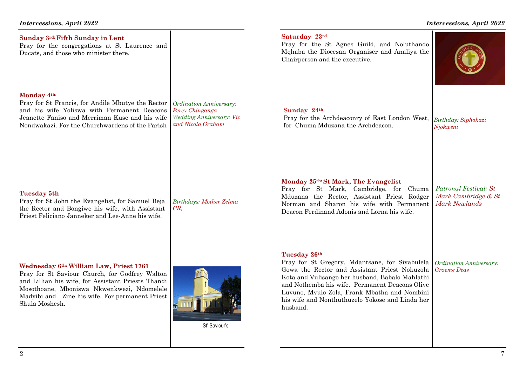### *Intercessions, April 2022*

| Sunday 3rd: Fifth Sunday in Lent<br>Pray for the congregations at St Laurence and<br>Ducats, and those who minister there.                                                                                                                                         |                                                                                                    | Saturday 23rd<br>Pray for the St Agnes Guild, and Noluthando<br>Mqhaba the Diocesan Organiser and Analiya the<br>Chairperson and the executive.                                                                                                                                                                                     |                                                                      |
|--------------------------------------------------------------------------------------------------------------------------------------------------------------------------------------------------------------------------------------------------------------------|----------------------------------------------------------------------------------------------------|-------------------------------------------------------------------------------------------------------------------------------------------------------------------------------------------------------------------------------------------------------------------------------------------------------------------------------------|----------------------------------------------------------------------|
| Monday 4th:<br>Pray for St Francis, for Andile Mbutye the Rector<br>and his wife Yoliswa with Permanent Deacons<br>Jeanette Faniso and Merriman Kuse and his wife<br>Nondwakazi. For the Churchwardens of the Parish                                               | Ordination Anniversary:<br>Percy Chinganga<br><b>Wedding Anniversary: Vic</b><br>and Nicola Graham | Sunday 24th<br>Pray for the Archdeaconry of East London West,<br>for Chuma Mduzana the Archdeacon.                                                                                                                                                                                                                                  | Birthday: Siphokazi<br>Njokweni                                      |
| <b>Tuesday 5th</b><br>Pray for St John the Evangelist, for Samuel Beja<br>the Rector and Bongiwe his wife, with Assistant<br>Priest Feliciano Janneker and Lee-Anne his wife.                                                                                      | Birthdays: Mother Zelma<br>$CR$ .                                                                  | Monday 25th: St Mark, The Evangelist<br>Pray for St Mark, Cambridge, for<br>Chuma<br>Mduzana the Rector, Assistant Priest Rodger<br>Norman and Sharon his wife with Permanent<br>Deacon Ferdinand Adonis and Lorna his wife.                                                                                                        | Patronal Festival: St<br>Mark Cambridge & St<br><b>Mark Newlands</b> |
| Wednesday 6th: William Law, Priest 1761<br>Pray for St Saviour Church, for Godfrey Walton<br>and Lillian his wife, for Assistant Priests Thandi<br>Mosothoane, Mboniswa Nkwenkwezi, Ndomelele<br>Madyibi and Zine his wife. For permanent Priest<br>Shula Moshesh. | St' Saviour's                                                                                      | Tuesday 26th<br>Pray for St Gregory, Mdantsane, for Siyabulela<br>Gowa the Rector and Assistant Priest Nokuzola<br>Kota and Vulisango her husband, Babalo Mahlathi<br>and Nothemba his wife. Permanent Deacons Olive<br>Luvuno, Mvulo Zola, Frank Mbatha and Nombini<br>his wife and Nonthuthuzelo Yokose and Linda her<br>husband. | Ordination Anniversary:<br><b>Graeme</b> Deas                        |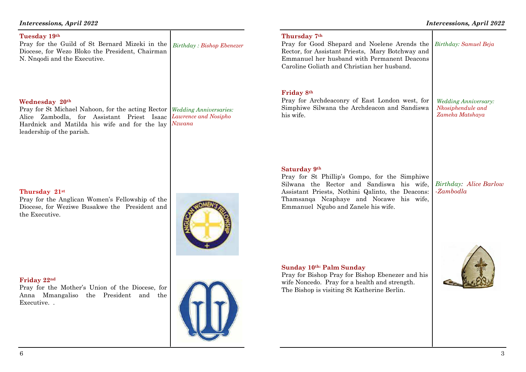Diocese, for Wezo Bloko the President, Chairman N. Nnqodi and the Executive.

### **Wednesday 20th**

**Tuesday 19th**

Pray for St Michael Nahoon, for the acting Rector *Wedding Anniversaries:*  Alice Zambodla, for Assistant Priest Isaac Hardnick and Matilda his wife and for the lay leadership of the parish. *Lawrence and Nosipho Nzwana* 

### **Thursday 21st**

Pray for the Anglican Women's Fellowship of the Diocese, for Weziwe Busakwe the President and the Executive.

### **Friday 22nd**

Pray for the Mother's Union of the Diocese, for Anna Mmangaliso the President and the Executive. .

## *Intercessions, April 2022*

Pray for the Guild of St Bernard Mizeki in the





*Birthday : Bishop Ebenezer*

 Pray for Bishop Pray for Bishop Ebenezer and his wife Noncedo. Pray for a health and strength. The Bishop is visiting St Katherine Berlin.